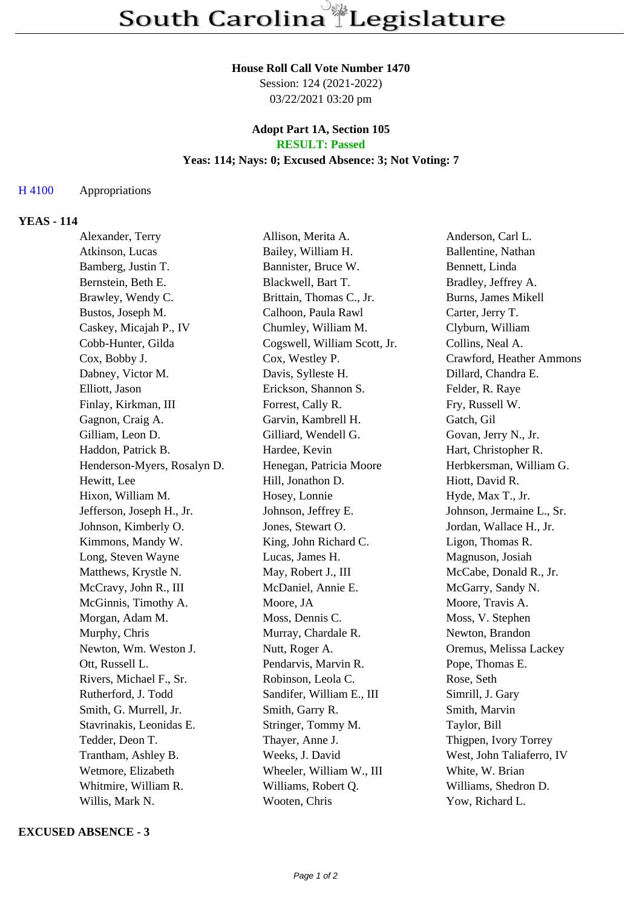#### **House Roll Call Vote Number 1470**

Session: 124 (2021-2022) 03/22/2021 03:20 pm

## **Adopt Part 1A, Section 105 RESULT: Passed**

# **Yeas: 114; Nays: 0; Excused Absence: 3; Not Voting: 7**

### H 4100 Appropriations

# **YEAS - 114**

| Alexander, Terry            | Allison, Merita A.           | Anderson, Carl L.         |
|-----------------------------|------------------------------|---------------------------|
| Atkinson, Lucas             | Bailey, William H.           | Ballentine, Nathan        |
| Bamberg, Justin T.          | Bannister, Bruce W.          | Bennett, Linda            |
| Bernstein, Beth E.          | Blackwell, Bart T.           | Bradley, Jeffrey A.       |
| Brawley, Wendy C.           | Brittain, Thomas C., Jr.     | Burns, James Mikell       |
| Bustos, Joseph M.           | Calhoon, Paula Rawl          | Carter, Jerry T.          |
| Caskey, Micajah P., IV      | Chumley, William M.          | Clyburn, William          |
| Cobb-Hunter, Gilda          | Cogswell, William Scott, Jr. | Collins, Neal A.          |
| Cox, Bobby J.               | Cox, Westley P.              | Crawford, Heather Ammons  |
| Dabney, Victor M.           | Davis, Sylleste H.           | Dillard, Chandra E.       |
| Elliott, Jason              | Erickson, Shannon S.         | Felder, R. Raye           |
| Finlay, Kirkman, III        | Forrest, Cally R.            | Fry, Russell W.           |
| Gagnon, Craig A.            | Garvin, Kambrell H.          | Gatch, Gil                |
| Gilliam, Leon D.            | Gilliard, Wendell G.         | Govan, Jerry N., Jr.      |
| Haddon, Patrick B.          | Hardee, Kevin                | Hart, Christopher R.      |
| Henderson-Myers, Rosalyn D. | Henegan, Patricia Moore      | Herbkersman, William G.   |
| Hewitt, Lee                 | Hill, Jonathon D.            | Hiott, David R.           |
| Hixon, William M.           | Hosey, Lonnie                | Hyde, Max T., Jr.         |
| Jefferson, Joseph H., Jr.   | Johnson, Jeffrey E.          | Johnson, Jermaine L., Sr. |
| Johnson, Kimberly O.        | Jones, Stewart O.            | Jordan, Wallace H., Jr.   |
| Kimmons, Mandy W.           | King, John Richard C.        | Ligon, Thomas R.          |
| Long, Steven Wayne          | Lucas, James H.              | Magnuson, Josiah          |
| Matthews, Krystle N.        | May, Robert J., III          | McCabe, Donald R., Jr.    |
| McCravy, John R., III       | McDaniel, Annie E.           | McGarry, Sandy N.         |
| McGinnis, Timothy A.        | Moore, JA                    | Moore, Travis A.          |
| Morgan, Adam M.             | Moss, Dennis C.              | Moss, V. Stephen          |
| Murphy, Chris               | Murray, Chardale R.          | Newton, Brandon           |
| Newton, Wm. Weston J.       | Nutt, Roger A.               | Oremus, Melissa Lackey    |
| Ott, Russell L.             | Pendarvis, Marvin R.         | Pope, Thomas E.           |
| Rivers, Michael F., Sr.     | Robinson, Leola C.           | Rose, Seth                |
| Rutherford, J. Todd         | Sandifer, William E., III    | Simrill, J. Gary          |
| Smith, G. Murrell, Jr.      | Smith, Garry R.              | Smith, Marvin             |
| Stavrinakis, Leonidas E.    | Stringer, Tommy M.           | Taylor, Bill              |
| Tedder, Deon T.             | Thayer, Anne J.              | Thigpen, Ivory Torrey     |
| Trantham, Ashley B.         | Weeks, J. David              | West, John Taliaferro, IV |
| Wetmore, Elizabeth          | Wheeler, William W., III     | White, W. Brian           |
| Whitmire, William R.        | Williams, Robert Q.          | Williams, Shedron D.      |
| Willis, Mark N.             | Wooten, Chris                | Yow, Richard L.           |

#### **EXCUSED ABSENCE - 3**